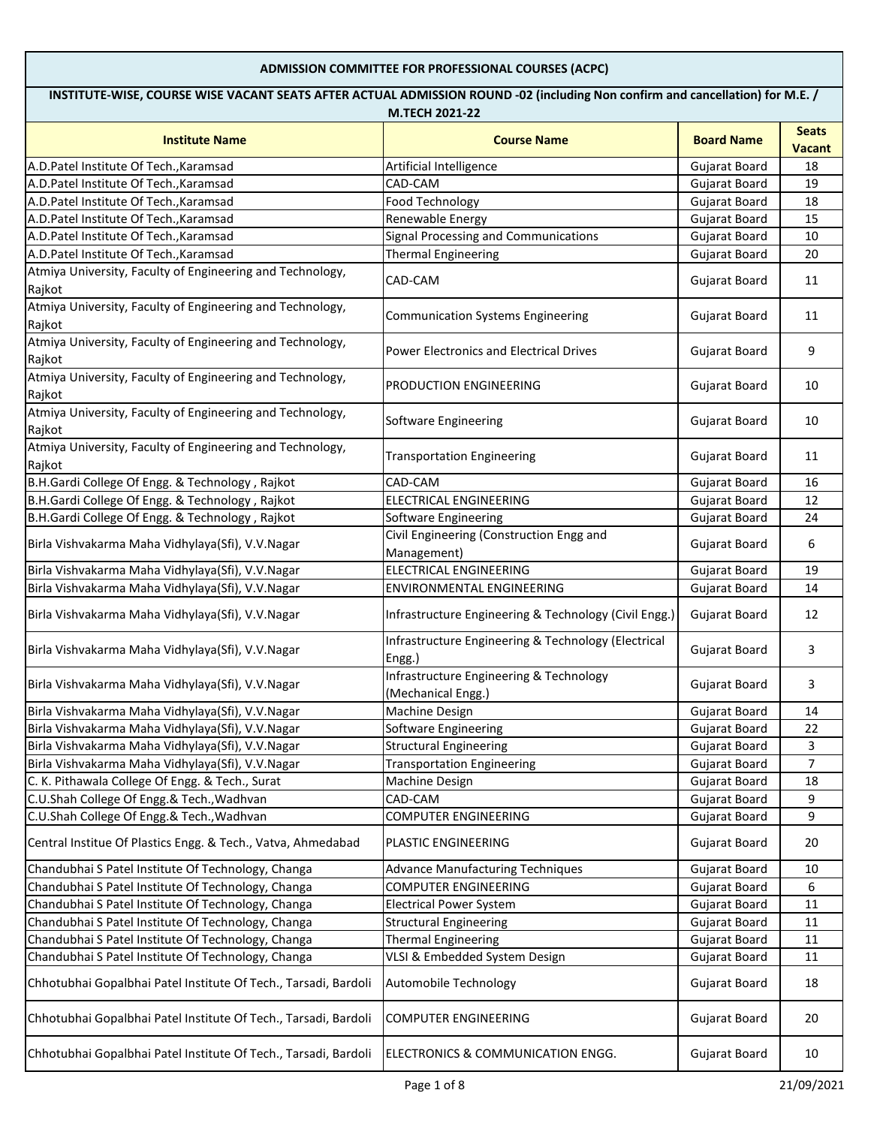## **ADMISSION COMMITTEE FOR PROFESSIONAL COURSES (ACPC)**

| INSTITUTE-WISE, COURSE WISE VACANT SEATS AFTER ACTUAL ADMISSION ROUND -02 (including Non confirm and cancellation) for M.E. /<br>M.TECH 2021-22 |                                                               |                      |                               |
|-------------------------------------------------------------------------------------------------------------------------------------------------|---------------------------------------------------------------|----------------------|-------------------------------|
| <b>Institute Name</b>                                                                                                                           | <b>Course Name</b>                                            | <b>Board Name</b>    | <b>Seats</b><br><b>Vacant</b> |
| A.D.Patel Institute Of Tech., Karamsad                                                                                                          | Artificial Intelligence                                       | Gujarat Board        | 18                            |
| A.D.Patel Institute Of Tech., Karamsad                                                                                                          | CAD-CAM                                                       | <b>Gujarat Board</b> | 19                            |
| A.D.Patel Institute Of Tech., Karamsad                                                                                                          | Food Technology                                               | <b>Gujarat Board</b> | 18                            |
| A.D.Patel Institute Of Tech., Karamsad                                                                                                          | Renewable Energy                                              | <b>Gujarat Board</b> | 15                            |
| A.D.Patel Institute Of Tech., Karamsad                                                                                                          | Signal Processing and Communications                          | <b>Gujarat Board</b> | 10                            |
| A.D.Patel Institute Of Tech., Karamsad                                                                                                          | <b>Thermal Engineering</b>                                    | Gujarat Board        | 20                            |
| Atmiya University, Faculty of Engineering and Technology,<br>Rajkot                                                                             | CAD-CAM                                                       | Gujarat Board        | 11                            |
| Atmiya University, Faculty of Engineering and Technology,<br>Rajkot                                                                             | <b>Communication Systems Engineering</b>                      | Gujarat Board        | 11                            |
| Atmiya University, Faculty of Engineering and Technology,<br>Rajkot                                                                             | <b>Power Electronics and Electrical Drives</b>                | <b>Gujarat Board</b> | 9                             |
| Atmiya University, Faculty of Engineering and Technology,<br>Rajkot                                                                             | PRODUCTION ENGINEERING                                        | Gujarat Board        | 10                            |
| Atmiya University, Faculty of Engineering and Technology,<br>Rajkot                                                                             | Software Engineering                                          | <b>Gujarat Board</b> | 10                            |
| Atmiya University, Faculty of Engineering and Technology,<br>Rajkot                                                                             | <b>Transportation Engineering</b>                             | Gujarat Board        | 11                            |
| B.H.Gardi College Of Engg. & Technology, Rajkot                                                                                                 | CAD-CAM                                                       | <b>Gujarat Board</b> | 16                            |
| B.H.Gardi College Of Engg. & Technology, Rajkot                                                                                                 | <b>ELECTRICAL ENGINEERING</b>                                 | <b>Gujarat Board</b> | 12                            |
| B.H.Gardi College Of Engg. & Technology, Rajkot                                                                                                 | Software Engineering                                          | Gujarat Board        | 24                            |
| Birla Vishvakarma Maha Vidhylaya(Sfi), V.V.Nagar                                                                                                | Civil Engineering (Construction Engg and<br>Management)       | Gujarat Board        | 6                             |
| Birla Vishvakarma Maha Vidhylaya(Sfi), V.V.Nagar                                                                                                | <b>ELECTRICAL ENGINEERING</b>                                 | <b>Gujarat Board</b> | 19                            |
| Birla Vishvakarma Maha Vidhylaya(Sfi), V.V.Nagar                                                                                                | ENVIRONMENTAL ENGINEERING                                     | Gujarat Board        | 14                            |
| Birla Vishvakarma Maha Vidhylaya(Sfi), V.V.Nagar                                                                                                | Infrastructure Engineering & Technology (Civil Engg.)         | Gujarat Board        | 12                            |
| Birla Vishvakarma Maha Vidhylaya(Sfi), V.V.Nagar                                                                                                | Infrastructure Engineering & Technology (Electrical<br>Engg.) | <b>Gujarat Board</b> | 3                             |
| Birla Vishvakarma Maha Vidhylaya(Sfi), V.V.Nagar                                                                                                | Infrastructure Engineering & Technology<br>(Mechanical Engg.) | <b>Gujarat Board</b> | 3                             |
| Birla Vishvakarma Maha Vidhylaya(Sfi), V.V.Nagar                                                                                                | Machine Design                                                | <b>Gujarat Board</b> | 14                            |
| Birla Vishvakarma Maha Vidhylaya(Sfi), V.V.Nagar                                                                                                | <b>Software Engineering</b>                                   | <b>Gujarat Board</b> | 22                            |
| Birla Vishvakarma Maha Vidhylaya(Sfi), V.V.Nagar                                                                                                | <b>Structural Engineering</b>                                 | Gujarat Board        | 3                             |
| Birla Vishvakarma Maha Vidhylaya(Sfi), V.V.Nagar                                                                                                | <b>Transportation Engineering</b>                             | Gujarat Board        | $\overline{7}$                |
| C. K. Pithawala College Of Engg. & Tech., Surat                                                                                                 | <b>Machine Design</b>                                         | <b>Gujarat Board</b> | 18                            |
| C.U.Shah College Of Engg.& Tech., Wadhvan                                                                                                       | CAD-CAM                                                       | <b>Gujarat Board</b> | 9                             |
| C.U.Shah College Of Engg.& Tech., Wadhvan                                                                                                       | COMPUTER ENGINEERING                                          | Gujarat Board        | 9                             |
| Central Institue Of Plastics Engg. & Tech., Vatva, Ahmedabad                                                                                    | PLASTIC ENGINEERING                                           | Gujarat Board        | 20                            |
| Chandubhai S Patel Institute Of Technology, Changa                                                                                              | <b>Advance Manufacturing Techniques</b>                       | Gujarat Board        | 10                            |
| Chandubhai S Patel Institute Of Technology, Changa                                                                                              | <b>COMPUTER ENGINEERING</b>                                   | Gujarat Board        | 6                             |
| Chandubhai S Patel Institute Of Technology, Changa                                                                                              | <b>Electrical Power System</b>                                | <b>Gujarat Board</b> | 11                            |
| Chandubhai S Patel Institute Of Technology, Changa                                                                                              | <b>Structural Engineering</b>                                 | Gujarat Board        | 11                            |
| Chandubhai S Patel Institute Of Technology, Changa                                                                                              | <b>Thermal Engineering</b>                                    | <b>Gujarat Board</b> | 11                            |
| Chandubhai S Patel Institute Of Technology, Changa                                                                                              | VLSI & Embedded System Design                                 | Gujarat Board        | 11                            |
| Chhotubhai Gopalbhai Patel Institute Of Tech., Tarsadi, Bardoli                                                                                 | <b>Automobile Technology</b>                                  | <b>Gujarat Board</b> | 18                            |
| Chhotubhai Gopalbhai Patel Institute Of Tech., Tarsadi, Bardoli                                                                                 | <b>COMPUTER ENGINEERING</b>                                   | <b>Gujarat Board</b> | 20                            |
| Chhotubhai Gopalbhai Patel Institute Of Tech., Tarsadi, Bardoli                                                                                 | ELECTRONICS & COMMUNICATION ENGG.                             | Gujarat Board        | 10                            |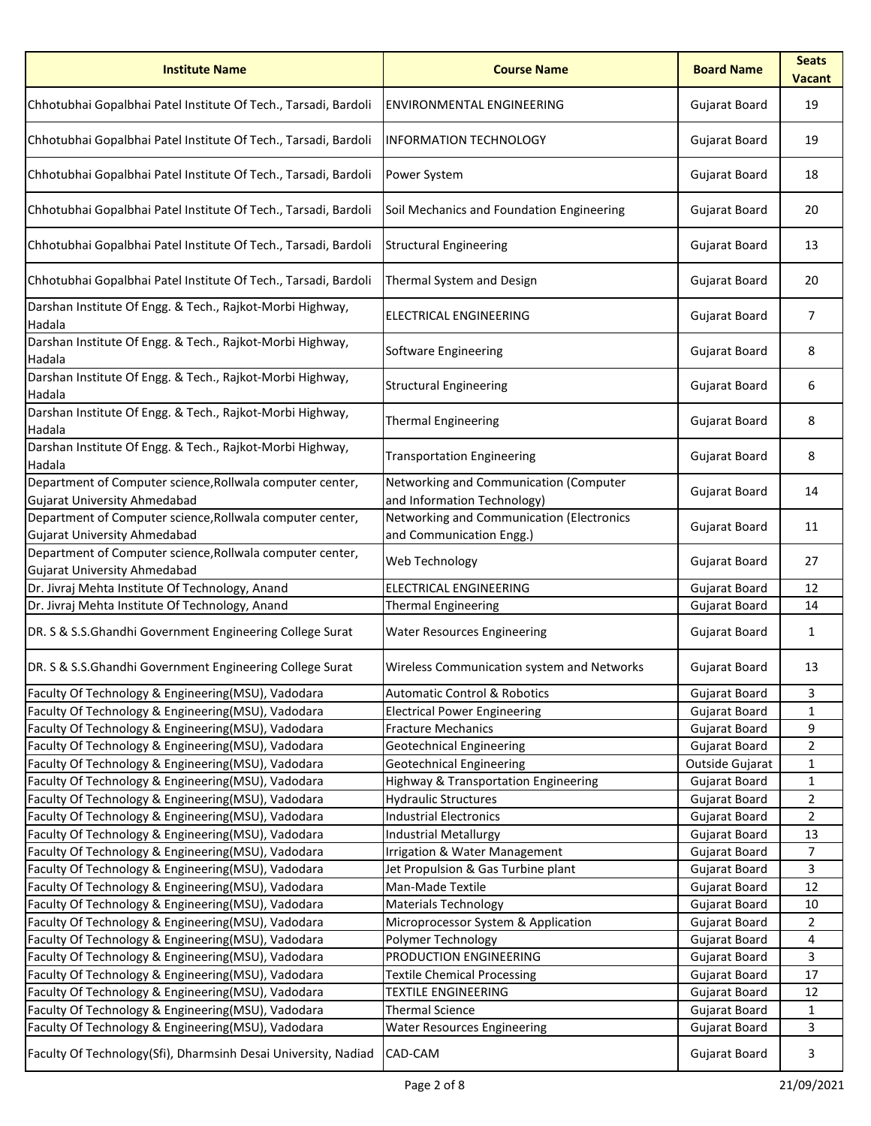| <b>Institute Name</b>                                                                            | <b>Course Name</b>                                                    | <b>Board Name</b>    | <b>Seats</b><br><b>Vacant</b> |
|--------------------------------------------------------------------------------------------------|-----------------------------------------------------------------------|----------------------|-------------------------------|
| Chhotubhai Gopalbhai Patel Institute Of Tech., Tarsadi, Bardoli                                  | <b>ENVIRONMENTAL ENGINEERING</b>                                      | <b>Gujarat Board</b> | 19                            |
| Chhotubhai Gopalbhai Patel Institute Of Tech., Tarsadi, Bardoli                                  | <b>INFORMATION TECHNOLOGY</b>                                         | <b>Gujarat Board</b> | 19                            |
| Chhotubhai Gopalbhai Patel Institute Of Tech., Tarsadi, Bardoli                                  | Power System                                                          | <b>Gujarat Board</b> | 18                            |
| Chhotubhai Gopalbhai Patel Institute Of Tech., Tarsadi, Bardoli                                  | Soil Mechanics and Foundation Engineering                             | <b>Gujarat Board</b> | 20                            |
| Chhotubhai Gopalbhai Patel Institute Of Tech., Tarsadi, Bardoli                                  | <b>Structural Engineering</b>                                         | <b>Gujarat Board</b> | 13                            |
| Chhotubhai Gopalbhai Patel Institute Of Tech., Tarsadi, Bardoli                                  | Thermal System and Design                                             | Gujarat Board        | 20                            |
| Darshan Institute Of Engg. & Tech., Rajkot-Morbi Highway,<br>Hadala                              | <b>ELECTRICAL ENGINEERING</b>                                         | <b>Gujarat Board</b> | 7                             |
| Darshan Institute Of Engg. & Tech., Rajkot-Morbi Highway,<br>Hadala                              | Software Engineering                                                  | <b>Gujarat Board</b> | 8                             |
| Darshan Institute Of Engg. & Tech., Rajkot-Morbi Highway,<br>Hadala                              | <b>Structural Engineering</b>                                         | Gujarat Board        | 6                             |
| Darshan Institute Of Engg. & Tech., Rajkot-Morbi Highway,<br>Hadala                              | <b>Thermal Engineering</b>                                            | <b>Gujarat Board</b> | 8                             |
| Darshan Institute Of Engg. & Tech., Rajkot-Morbi Highway,<br>Hadala                              | <b>Transportation Engineering</b>                                     | Gujarat Board        | 8                             |
| Department of Computer science, Rollwala computer center,<br>Gujarat University Ahmedabad        | Networking and Communication (Computer<br>and Information Technology) | <b>Gujarat Board</b> | 14                            |
| Department of Computer science, Rollwala computer center,<br>Gujarat University Ahmedabad        | Networking and Communication (Electronics<br>and Communication Engg.) | <b>Gujarat Board</b> | 11                            |
| Department of Computer science, Rollwala computer center,<br><b>Gujarat University Ahmedabad</b> | Web Technology                                                        | <b>Gujarat Board</b> | 27                            |
| Dr. Jivraj Mehta Institute Of Technology, Anand                                                  | <b>ELECTRICAL ENGINEERING</b>                                         | Gujarat Board        | 12                            |
| Dr. Jivraj Mehta Institute Of Technology, Anand                                                  | <b>Thermal Engineering</b>                                            | Gujarat Board        | 14                            |
| DR. S & S.S.Ghandhi Government Engineering College Surat                                         | <b>Water Resources Engineering</b>                                    | Gujarat Board        | $\mathbf{1}$                  |
| DR. S & S.S.Ghandhi Government Engineering College Surat                                         | Wireless Communication system and Networks                            | Gujarat Board        | 13                            |
| Faculty Of Technology & Engineering(MSU), Vadodara                                               | <b>Automatic Control &amp; Robotics</b>                               | Gujarat Board        | $\mathbf{3}$                  |
| Faculty Of Technology & Engineering(MSU), Vadodara                                               | <b>Electrical Power Engineering</b>                                   | <b>Gujarat Board</b> | 1                             |
| Faculty Of Technology & Engineering(MSU), Vadodara                                               | <b>Fracture Mechanics</b>                                             | <b>Gujarat Board</b> | 9                             |
| Faculty Of Technology & Engineering(MSU), Vadodara                                               | <b>Geotechnical Engineering</b>                                       | Gujarat Board        | $\overline{2}$                |
| Faculty Of Technology & Engineering(MSU), Vadodara                                               | <b>Geotechnical Engineering</b>                                       | Outside Gujarat      | 1                             |
| Faculty Of Technology & Engineering(MSU), Vadodara                                               | Highway & Transportation Engineering                                  | Gujarat Board        | $\mathbf{1}$                  |
| Faculty Of Technology & Engineering(MSU), Vadodara                                               | <b>Hydraulic Structures</b>                                           | Gujarat Board        | $\overline{2}$                |
| Faculty Of Technology & Engineering(MSU), Vadodara                                               | <b>Industrial Electronics</b>                                         | <b>Gujarat Board</b> | $\overline{2}$                |
| Faculty Of Technology & Engineering(MSU), Vadodara                                               | <b>Industrial Metallurgy</b>                                          | Gujarat Board        | 13                            |
| Faculty Of Technology & Engineering(MSU), Vadodara                                               | Irrigation & Water Management                                         | Gujarat Board        | $\overline{7}$                |
| Faculty Of Technology & Engineering(MSU), Vadodara                                               | Jet Propulsion & Gas Turbine plant                                    | Gujarat Board        | $\overline{3}$                |
| Faculty Of Technology & Engineering(MSU), Vadodara                                               | Man-Made Textile                                                      | Gujarat Board        | 12                            |
| Faculty Of Technology & Engineering(MSU), Vadodara                                               | <b>Materials Technology</b>                                           | Gujarat Board        | 10                            |
| Faculty Of Technology & Engineering(MSU), Vadodara                                               | Microprocessor System & Application                                   | <b>Gujarat Board</b> | $\overline{2}$                |
| Faculty Of Technology & Engineering(MSU), Vadodara                                               | Polymer Technology                                                    | Gujarat Board        | 4                             |
| Faculty Of Technology & Engineering(MSU), Vadodara                                               | PRODUCTION ENGINEERING                                                | Gujarat Board        | $\overline{3}$                |
| Faculty Of Technology & Engineering(MSU), Vadodara                                               | <b>Textile Chemical Processing</b>                                    | <b>Gujarat Board</b> | 17                            |
| Faculty Of Technology & Engineering(MSU), Vadodara                                               | <b>TEXTILE ENGINEERING</b>                                            | Gujarat Board        | 12                            |
| Faculty Of Technology & Engineering(MSU), Vadodara                                               | <b>Thermal Science</b>                                                | <b>Gujarat Board</b> | $\mathbf{1}$                  |
| Faculty Of Technology & Engineering(MSU), Vadodara                                               | <b>Water Resources Engineering</b>                                    | Gujarat Board        | 3                             |
| Faculty Of Technology(Sfi), Dharmsinh Desai University, Nadiad                                   | CAD-CAM                                                               | Gujarat Board        | 3                             |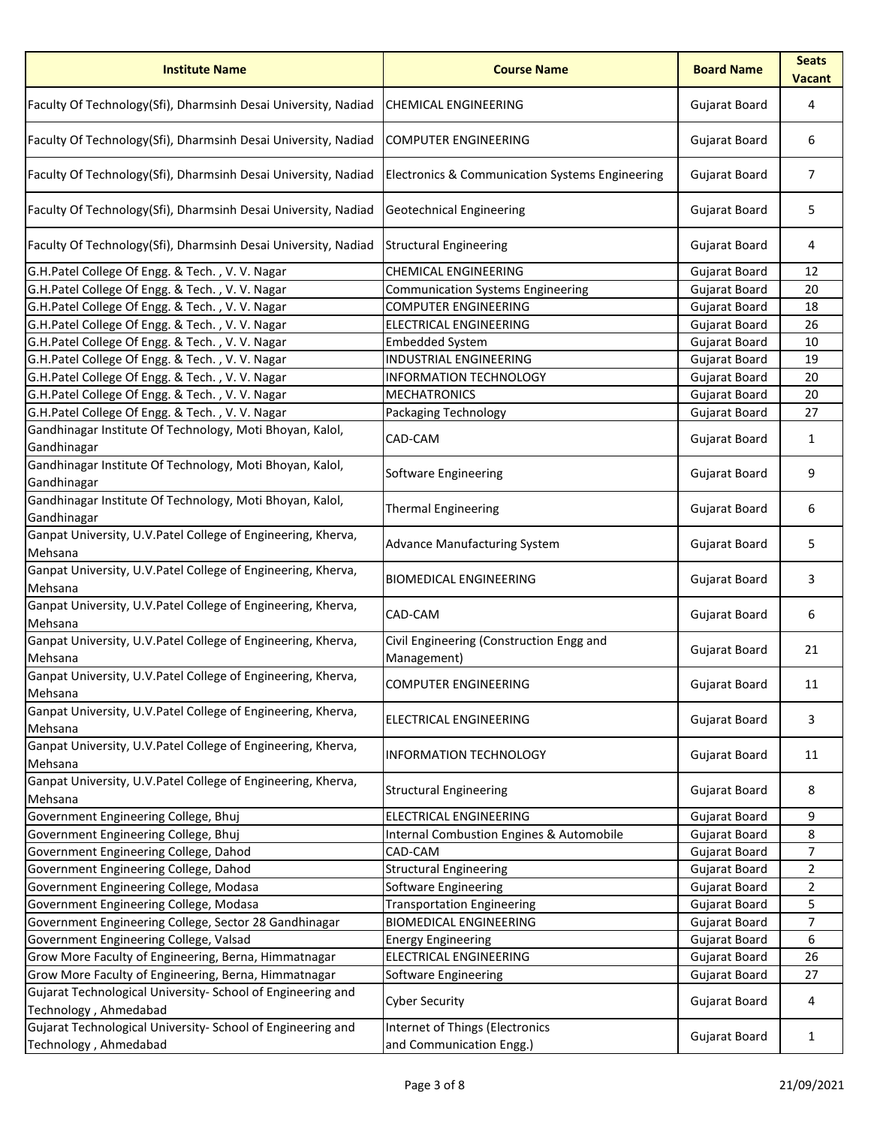| <b>Institute Name</b>                                                                | <b>Course Name</b>                                          | <b>Board Name</b>    | <b>Seats</b><br><b>Vacant</b> |
|--------------------------------------------------------------------------------------|-------------------------------------------------------------|----------------------|-------------------------------|
| Faculty Of Technology(Sfi), Dharmsinh Desai University, Nadiad                       | <b>CHEMICAL ENGINEERING</b>                                 | Gujarat Board        | 4                             |
| Faculty Of Technology(Sfi), Dharmsinh Desai University, Nadiad                       | <b>COMPUTER ENGINEERING</b>                                 | <b>Gujarat Board</b> | 6                             |
| Faculty Of Technology(Sfi), Dharmsinh Desai University, Nadiad                       | <b>Electronics &amp; Communication Systems Engineering</b>  | Gujarat Board        | $\overline{7}$                |
| Faculty Of Technology(Sfi), Dharmsinh Desai University, Nadiad                       | <b>Geotechnical Engineering</b>                             | Gujarat Board        | 5                             |
| Faculty Of Technology(Sfi), Dharmsinh Desai University, Nadiad                       | <b>Structural Engineering</b>                               | Gujarat Board        | 4                             |
| G.H.Patel College Of Engg. & Tech., V.V. Nagar                                       | CHEMICAL ENGINEERING                                        | Gujarat Board        | 12                            |
| G.H.Patel College Of Engg. & Tech., V.V. Nagar                                       | <b>Communication Systems Engineering</b>                    | <b>Gujarat Board</b> | 20                            |
| G.H.Patel College Of Engg. & Tech., V.V. Nagar                                       | <b>COMPUTER ENGINEERING</b>                                 | Gujarat Board        | 18                            |
| G.H.Patel College Of Engg. & Tech., V.V. Nagar                                       | <b>ELECTRICAL ENGINEERING</b>                               | Gujarat Board        | 26                            |
| G.H.Patel College Of Engg. & Tech., V.V. Nagar                                       | <b>Embedded System</b>                                      | <b>Gujarat Board</b> | 10                            |
| G.H.Patel College Of Engg. & Tech., V.V. Nagar                                       | <b>INDUSTRIAL ENGINEERING</b>                               | Gujarat Board        | 19                            |
| G.H.Patel College Of Engg. & Tech., V.V. Nagar                                       | <b>INFORMATION TECHNOLOGY</b>                               | <b>Gujarat Board</b> | 20                            |
| G.H.Patel College Of Engg. & Tech., V.V. Nagar                                       | <b>MECHATRONICS</b>                                         | Gujarat Board        | 20                            |
| G.H.Patel College Of Engg. & Tech., V.V. Nagar                                       | Packaging Technology                                        | <b>Gujarat Board</b> | 27                            |
| Gandhinagar Institute Of Technology, Moti Bhoyan, Kalol,<br>Gandhinagar              | CAD-CAM                                                     | Gujarat Board        | $\mathbf{1}$                  |
| Gandhinagar Institute Of Technology, Moti Bhoyan, Kalol,<br>Gandhinagar              | Software Engineering                                        | Gujarat Board        | 9                             |
| Gandhinagar Institute Of Technology, Moti Bhoyan, Kalol,<br>Gandhinagar              | <b>Thermal Engineering</b>                                  | Gujarat Board        | 6                             |
| Ganpat University, U.V.Patel College of Engineering, Kherva,<br>Mehsana              | <b>Advance Manufacturing System</b>                         | Gujarat Board        | 5                             |
| Ganpat University, U.V.Patel College of Engineering, Kherva,<br>Mehsana              | <b>BIOMEDICAL ENGINEERING</b>                               | Gujarat Board        | 3                             |
| Ganpat University, U.V.Patel College of Engineering, Kherva,<br>Mehsana              | CAD-CAM                                                     | Gujarat Board        | 6                             |
| Ganpat University, U.V. Patel College of Engineering, Kherva,<br>Mehsana             | Civil Engineering (Construction Engg and<br>Management)     | Gujarat Board        | 21                            |
| Ganpat University, U.V. Patel College of Engineering, Kherva,<br>Mehsana             | <b>COMPUTER ENGINEERING</b>                                 | <b>Gujarat Board</b> | 11                            |
| Ganpat University, U.V. Patel College of Engineering, Kherva,<br>Mehsana             | <b>ELECTRICAL ENGINEERING</b>                               | <b>Gujarat Board</b> | 3                             |
| Ganpat University, U.V. Patel College of Engineering, Kherva,<br>Mehsana             | <b>INFORMATION TECHNOLOGY</b>                               | Gujarat Board        | 11                            |
| Ganpat University, U.V.Patel College of Engineering, Kherva,<br>Mehsana              | <b>Structural Engineering</b>                               | Gujarat Board        | 8                             |
| Government Engineering College, Bhuj                                                 | <b>ELECTRICAL ENGINEERING</b>                               | Gujarat Board        | 9                             |
| Government Engineering College, Bhuj                                                 | <b>Internal Combustion Engines &amp; Automobile</b>         | Gujarat Board        | 8                             |
| Government Engineering College, Dahod                                                | CAD-CAM                                                     | Gujarat Board        | 7                             |
| Government Engineering College, Dahod                                                | <b>Structural Engineering</b>                               | Gujarat Board        | $\overline{2}$                |
| Government Engineering College, Modasa                                               | <b>Software Engineering</b>                                 | <b>Gujarat Board</b> | $\overline{2}$                |
| Government Engineering College, Modasa                                               | <b>Transportation Engineering</b>                           | Gujarat Board        | 5.                            |
| Government Engineering College, Sector 28 Gandhinagar                                | <b>BIOMEDICAL ENGINEERING</b>                               | Gujarat Board        | $\overline{7}$                |
| Government Engineering College, Valsad                                               | <b>Energy Engineering</b>                                   | Gujarat Board        | 6                             |
| Grow More Faculty of Engineering, Berna, Himmatnagar                                 | <b>ELECTRICAL ENGINEERING</b>                               | Gujarat Board        | 26                            |
| Grow More Faculty of Engineering, Berna, Himmatnagar                                 | Software Engineering                                        | Gujarat Board        | 27                            |
| Gujarat Technological University- School of Engineering and<br>Technology, Ahmedabad | <b>Cyber Security</b>                                       | Gujarat Board        | 4                             |
| Gujarat Technological University- School of Engineering and<br>Technology, Ahmedabad | Internet of Things (Electronics<br>and Communication Engg.) | Gujarat Board        | $\mathbf{1}$                  |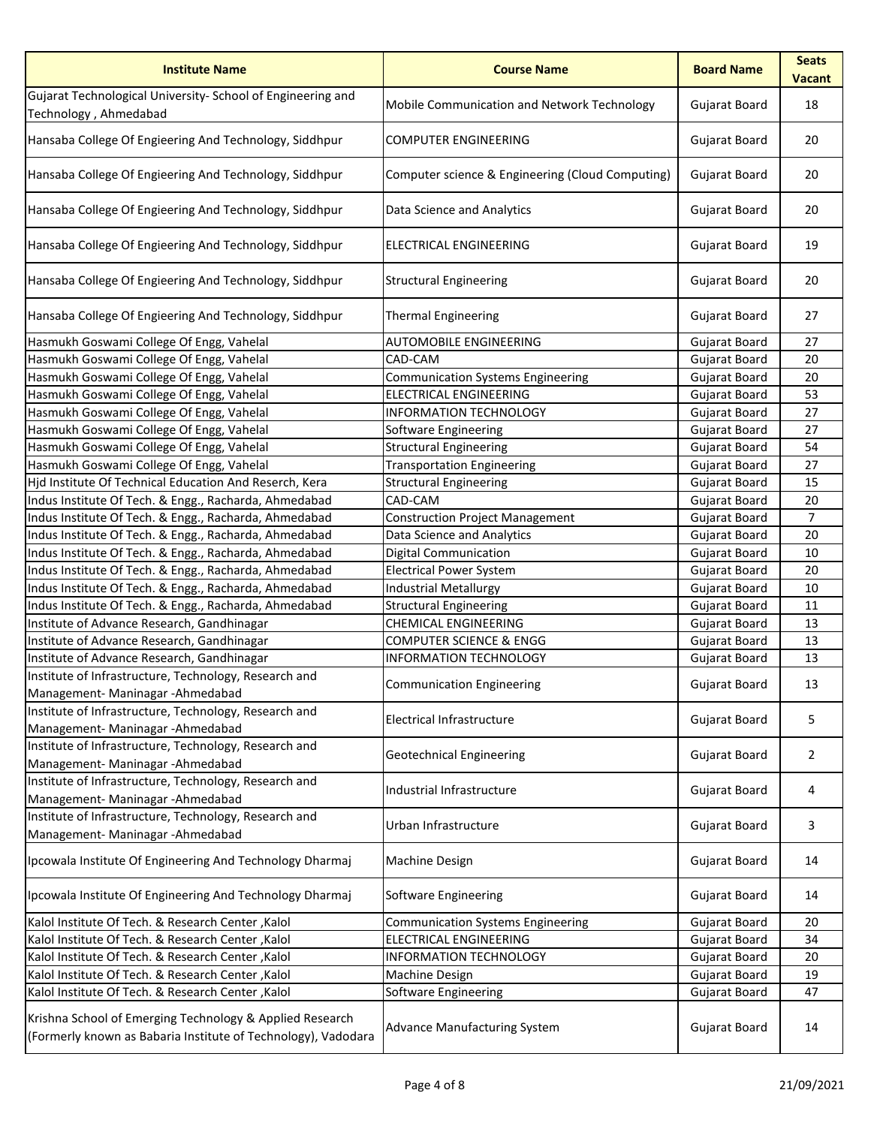| <b>Institute Name</b>                                                                                                     | <b>Course Name</b>                               | <b>Board Name</b>    | <b>Seats</b><br><b>Vacant</b> |
|---------------------------------------------------------------------------------------------------------------------------|--------------------------------------------------|----------------------|-------------------------------|
| Gujarat Technological University- School of Engineering and<br>Technology, Ahmedabad                                      | Mobile Communication and Network Technology      | Gujarat Board        | 18                            |
| Hansaba College Of Engieering And Technology, Siddhpur                                                                    | <b>COMPUTER ENGINEERING</b>                      | <b>Gujarat Board</b> | 20                            |
| Hansaba College Of Engieering And Technology, Siddhpur                                                                    | Computer science & Engineering (Cloud Computing) | <b>Gujarat Board</b> | 20                            |
| Hansaba College Of Engieering And Technology, Siddhpur                                                                    | Data Science and Analytics                       | Gujarat Board        | 20                            |
| Hansaba College Of Engieering And Technology, Siddhpur                                                                    | ELECTRICAL ENGINEERING                           | Gujarat Board        | 19                            |
| Hansaba College Of Engieering And Technology, Siddhpur                                                                    | <b>Structural Engineering</b>                    | Gujarat Board        | 20                            |
| Hansaba College Of Engieering And Technology, Siddhpur                                                                    | <b>Thermal Engineering</b>                       | Gujarat Board        | 27                            |
| Hasmukh Goswami College Of Engg, Vahelal                                                                                  | <b>AUTOMOBILE ENGINEERING</b>                    | Gujarat Board        | 27                            |
| Hasmukh Goswami College Of Engg, Vahelal                                                                                  | CAD-CAM                                          | Gujarat Board        | 20                            |
| Hasmukh Goswami College Of Engg, Vahelal                                                                                  | <b>Communication Systems Engineering</b>         | Gujarat Board        | 20                            |
| Hasmukh Goswami College Of Engg, Vahelal                                                                                  | <b>ELECTRICAL ENGINEERING</b>                    | Gujarat Board        | 53                            |
| Hasmukh Goswami College Of Engg, Vahelal                                                                                  | <b>INFORMATION TECHNOLOGY</b>                    | Gujarat Board        | 27                            |
| Hasmukh Goswami College Of Engg, Vahelal                                                                                  | Software Engineering                             | Gujarat Board        | 27                            |
| Hasmukh Goswami College Of Engg, Vahelal                                                                                  | <b>Structural Engineering</b>                    | Gujarat Board        | 54                            |
| Hasmukh Goswami College Of Engg, Vahelal                                                                                  | <b>Transportation Engineering</b>                | Gujarat Board        | 27                            |
| Hjd Institute Of Technical Education And Reserch, Kera                                                                    | <b>Structural Engineering</b>                    | Gujarat Board        | 15                            |
| Indus Institute Of Tech. & Engg., Racharda, Ahmedabad                                                                     | CAD-CAM                                          | Gujarat Board        | 20                            |
| Indus Institute Of Tech. & Engg., Racharda, Ahmedabad                                                                     | <b>Construction Project Management</b>           | Gujarat Board        | $\overline{7}$                |
| Indus Institute Of Tech. & Engg., Racharda, Ahmedabad                                                                     | Data Science and Analytics                       | Gujarat Board        | 20                            |
| Indus Institute Of Tech. & Engg., Racharda, Ahmedabad                                                                     | <b>Digital Communication</b>                     | <b>Gujarat Board</b> | 10                            |
| Indus Institute Of Tech. & Engg., Racharda, Ahmedabad                                                                     | <b>Electrical Power System</b>                   | <b>Gujarat Board</b> | 20                            |
| Indus Institute Of Tech. & Engg., Racharda, Ahmedabad                                                                     | <b>Industrial Metallurgy</b>                     | Gujarat Board        | 10                            |
| Indus Institute Of Tech. & Engg., Racharda, Ahmedabad                                                                     |                                                  |                      |                               |
|                                                                                                                           | <b>Structural Engineering</b>                    | Gujarat Board        | 11                            |
| Institute of Advance Research, Gandhinagar                                                                                | <b>CHEMICAL ENGINEERING</b>                      | <b>Gujarat Board</b> | 13                            |
| Institute of Advance Research, Gandhinagar                                                                                | <b>COMPUTER SCIENCE &amp; ENGG</b>               | Gujarat Board        | 13                            |
| Institute of Advance Research, Gandhinagar                                                                                | <b>INFORMATION TECHNOLOGY</b>                    | Gujarat Board        | 13                            |
| Institute of Infrastructure, Technology, Research and<br>Management- Maninagar - Ahmedabad                                | <b>Communication Engineering</b>                 | Gujarat Board        | 13                            |
| Institute of Infrastructure, Technology, Research and<br>Management- Maninagar - Ahmedabad                                | <b>Electrical Infrastructure</b>                 | <b>Gujarat Board</b> | 5                             |
| Institute of Infrastructure, Technology, Research and<br>Management- Maninagar - Ahmedabad                                | <b>Geotechnical Engineering</b>                  | Gujarat Board        | $\overline{2}$                |
| Institute of Infrastructure, Technology, Research and<br>Management- Maninagar - Ahmedabad                                | Industrial Infrastructure                        | Gujarat Board        | 4                             |
| Institute of Infrastructure, Technology, Research and<br>Management- Maninagar - Ahmedabad                                | Urban Infrastructure                             | Gujarat Board        | 3                             |
| Ipcowala Institute Of Engineering And Technology Dharmaj                                                                  | <b>Machine Design</b>                            | Gujarat Board        | 14                            |
| Ipcowala Institute Of Engineering And Technology Dharmaj                                                                  | Software Engineering                             | Gujarat Board        | 14                            |
| Kalol Institute Of Tech. & Research Center, Kalol                                                                         | <b>Communication Systems Engineering</b>         | Gujarat Board        | 20                            |
| Kalol Institute Of Tech. & Research Center, Kalol                                                                         | ELECTRICAL ENGINEERING                           | Gujarat Board        | 34                            |
| Kalol Institute Of Tech. & Research Center, Kalol                                                                         | <b>INFORMATION TECHNOLOGY</b>                    | Gujarat Board        | 20                            |
| Kalol Institute Of Tech. & Research Center, Kalol                                                                         | Machine Design                                   | Gujarat Board        | 19                            |
| Kalol Institute Of Tech. & Research Center, Kalol                                                                         | <b>Software Engineering</b>                      | Gujarat Board        | 47                            |
| Krishna School of Emerging Technology & Applied Research<br>(Formerly known as Babaria Institute of Technology), Vadodara | <b>Advance Manufacturing System</b>              | <b>Gujarat Board</b> | 14                            |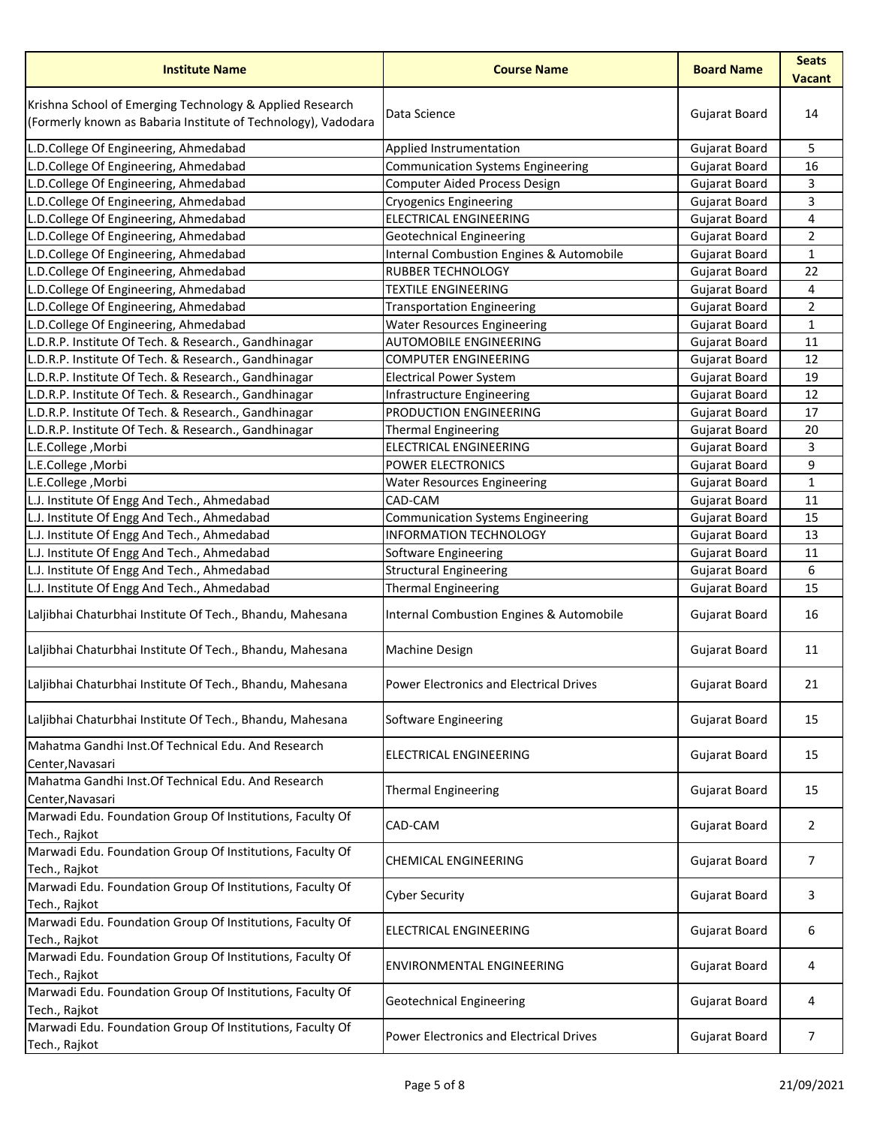| <b>Institute Name</b>                                                                                                     | <b>Course Name</b>                                  | <b>Board Name</b>    | <b>Seats</b><br><b>Vacant</b> |
|---------------------------------------------------------------------------------------------------------------------------|-----------------------------------------------------|----------------------|-------------------------------|
| Krishna School of Emerging Technology & Applied Research<br>(Formerly known as Babaria Institute of Technology), Vadodara | Data Science                                        | Gujarat Board        | 14                            |
| L.D.College Of Engineering, Ahmedabad                                                                                     | Applied Instrumentation                             | Gujarat Board        | 5                             |
| L.D.College Of Engineering, Ahmedabad                                                                                     | <b>Communication Systems Engineering</b>            | <b>Gujarat Board</b> | 16                            |
| L.D.College Of Engineering, Ahmedabad                                                                                     | <b>Computer Aided Process Design</b>                | Gujarat Board        | 3                             |
| L.D.College Of Engineering, Ahmedabad                                                                                     | <b>Cryogenics Engineering</b>                       | <b>Gujarat Board</b> | 3                             |
| L.D.College Of Engineering, Ahmedabad                                                                                     | <b>ELECTRICAL ENGINEERING</b>                       | <b>Gujarat Board</b> | 4                             |
| L.D.College Of Engineering, Ahmedabad                                                                                     | <b>Geotechnical Engineering</b>                     | Gujarat Board        | $\overline{2}$                |
| L.D.College Of Engineering, Ahmedabad                                                                                     | <b>Internal Combustion Engines &amp; Automobile</b> | <b>Gujarat Board</b> | $\mathbf{1}$                  |
| L.D.College Of Engineering, Ahmedabad                                                                                     | <b>RUBBER TECHNOLOGY</b>                            | Gujarat Board        | 22                            |
| L.D.College Of Engineering, Ahmedabad                                                                                     | <b>TEXTILE ENGINEERING</b>                          | <b>Gujarat Board</b> | 4                             |
| L.D.College Of Engineering, Ahmedabad                                                                                     | <b>Transportation Engineering</b>                   | <b>Gujarat Board</b> | $\overline{2}$                |
| L.D.College Of Engineering, Ahmedabad                                                                                     | <b>Water Resources Engineering</b>                  | Gujarat Board        | $\mathbf{1}$                  |
| L.D.R.P. Institute Of Tech. & Research., Gandhinagar                                                                      | <b>AUTOMOBILE ENGINEERING</b>                       | <b>Gujarat Board</b> | 11                            |
| L.D.R.P. Institute Of Tech. & Research., Gandhinagar                                                                      | <b>COMPUTER ENGINEERING</b>                         | Gujarat Board        | 12                            |
| L.D.R.P. Institute Of Tech. & Research., Gandhinagar                                                                      | <b>Electrical Power System</b>                      | Gujarat Board        | 19                            |
| L.D.R.P. Institute Of Tech. & Research., Gandhinagar                                                                      | Infrastructure Engineering                          | Gujarat Board        | 12                            |
| L.D.R.P. Institute Of Tech. & Research., Gandhinagar                                                                      | PRODUCTION ENGINEERING                              | <b>Gujarat Board</b> | 17                            |
| L.D.R.P. Institute Of Tech. & Research., Gandhinagar                                                                      | <b>Thermal Engineering</b>                          | Gujarat Board        | 20                            |
| L.E.College, Morbi                                                                                                        | <b>ELECTRICAL ENGINEERING</b>                       | Gujarat Board        | 3                             |
| L.E.College, Morbi                                                                                                        | POWER ELECTRONICS                                   | Gujarat Board        | 9                             |
| L.E.College, Morbi                                                                                                        | <b>Water Resources Engineering</b>                  | Gujarat Board        | $\mathbf{1}$                  |
| L.J. Institute Of Engg And Tech., Ahmedabad                                                                               | CAD-CAM                                             | Gujarat Board        | 11                            |
| L.J. Institute Of Engg And Tech., Ahmedabad                                                                               | <b>Communication Systems Engineering</b>            | Gujarat Board        | 15                            |
| L.J. Institute Of Engg And Tech., Ahmedabad                                                                               | <b>INFORMATION TECHNOLOGY</b>                       | Gujarat Board        | 13                            |
| L.J. Institute Of Engg And Tech., Ahmedabad                                                                               | Software Engineering                                | Gujarat Board        | 11                            |
| L.J. Institute Of Engg And Tech., Ahmedabad                                                                               | <b>Structural Engineering</b>                       | Gujarat Board        | 6                             |
| L.J. Institute Of Engg And Tech., Ahmedabad                                                                               | <b>Thermal Engineering</b>                          | Gujarat Board        | 15                            |
| Laljibhai Chaturbhai Institute Of Tech., Bhandu, Mahesana                                                                 | Internal Combustion Engines & Automobile            | Gujarat Board        | 16                            |
| Laljibhai Chaturbhai Institute Of Tech., Bhandu, Mahesana                                                                 | <b>Machine Design</b>                               | Gujarat Board        | 11                            |
| Laljibhai Chaturbhai Institute Of Tech., Bhandu, Mahesana                                                                 | <b>Power Electronics and Electrical Drives</b>      | Gujarat Board        | 21                            |
| Laljibhai Chaturbhai Institute Of Tech., Bhandu, Mahesana                                                                 | Software Engineering                                | <b>Gujarat Board</b> | 15                            |
| Mahatma Gandhi Inst. Of Technical Edu. And Research<br>Center, Navasari                                                   | <b>ELECTRICAL ENGINEERING</b>                       | Gujarat Board        | 15                            |
| Mahatma Gandhi Inst. Of Technical Edu. And Research<br>Center, Navasari                                                   | <b>Thermal Engineering</b>                          | Gujarat Board        | 15                            |
| Marwadi Edu. Foundation Group Of Institutions, Faculty Of<br>Tech., Rajkot                                                | CAD-CAM                                             | Gujarat Board        | $\mathbf{2}$                  |
| Marwadi Edu. Foundation Group Of Institutions, Faculty Of<br>Tech., Rajkot                                                | <b>CHEMICAL ENGINEERING</b>                         | Gujarat Board        | 7                             |
| Marwadi Edu. Foundation Group Of Institutions, Faculty Of<br>Tech., Rajkot                                                | <b>Cyber Security</b>                               | Gujarat Board        | 3                             |
| Marwadi Edu. Foundation Group Of Institutions, Faculty Of<br>Tech., Rajkot                                                | <b>ELECTRICAL ENGINEERING</b>                       | Gujarat Board        | 6                             |
| Marwadi Edu. Foundation Group Of Institutions, Faculty Of<br>Tech., Rajkot                                                | <b>ENVIRONMENTAL ENGINEERING</b>                    | Gujarat Board        | 4                             |
| Marwadi Edu. Foundation Group Of Institutions, Faculty Of<br>Tech., Rajkot                                                | <b>Geotechnical Engineering</b>                     | Gujarat Board        | 4                             |
| Marwadi Edu. Foundation Group Of Institutions, Faculty Of<br>Tech., Rajkot                                                | <b>Power Electronics and Electrical Drives</b>      | Gujarat Board        | 7                             |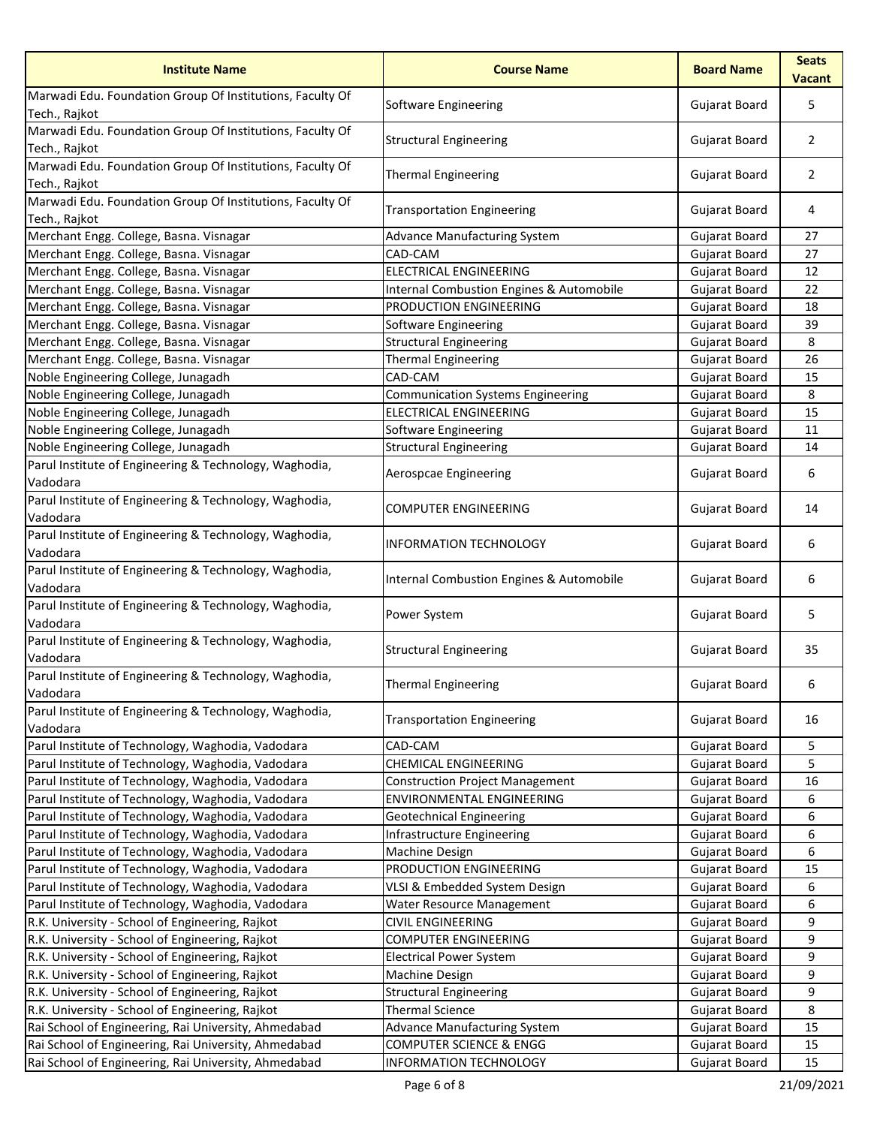| <b>Institute Name</b>                                                      | <b>Course Name</b>                                  | <b>Board Name</b>    | <b>Seats</b><br><b>Vacant</b> |
|----------------------------------------------------------------------------|-----------------------------------------------------|----------------------|-------------------------------|
| Marwadi Edu. Foundation Group Of Institutions, Faculty Of<br>Tech., Rajkot | Software Engineering                                | Gujarat Board        | 5                             |
| Marwadi Edu. Foundation Group Of Institutions, Faculty Of<br>Tech., Rajkot | <b>Structural Engineering</b>                       | Gujarat Board        | $\overline{2}$                |
| Marwadi Edu. Foundation Group Of Institutions, Faculty Of<br>Tech., Rajkot | <b>Thermal Engineering</b>                          | Gujarat Board        | $\overline{2}$                |
| Marwadi Edu. Foundation Group Of Institutions, Faculty Of<br>Tech., Rajkot | <b>Transportation Engineering</b>                   | Gujarat Board        | 4                             |
| Merchant Engg. College, Basna. Visnagar                                    | <b>Advance Manufacturing System</b>                 | Gujarat Board        | 27                            |
| Merchant Engg. College, Basna. Visnagar                                    | CAD-CAM                                             | <b>Gujarat Board</b> | 27                            |
| Merchant Engg. College, Basna. Visnagar                                    | <b>ELECTRICAL ENGINEERING</b>                       | <b>Gujarat Board</b> | 12                            |
| Merchant Engg. College, Basna. Visnagar                                    | <b>Internal Combustion Engines &amp; Automobile</b> | <b>Gujarat Board</b> | 22                            |
| Merchant Engg. College, Basna. Visnagar                                    | PRODUCTION ENGINEERING                              | Gujarat Board        | 18                            |
| Merchant Engg. College, Basna. Visnagar                                    | Software Engineering                                | Gujarat Board        | 39                            |
| Merchant Engg. College, Basna. Visnagar                                    | <b>Structural Engineering</b>                       | Gujarat Board        | 8                             |
| Merchant Engg. College, Basna. Visnagar                                    | <b>Thermal Engineering</b>                          | Gujarat Board        | 26                            |
| Noble Engineering College, Junagadh                                        | CAD-CAM                                             | Gujarat Board        | 15                            |
| Noble Engineering College, Junagadh                                        | <b>Communication Systems Engineering</b>            | Gujarat Board        | 8                             |
| Noble Engineering College, Junagadh                                        | <b>ELECTRICAL ENGINEERING</b>                       | Gujarat Board        | 15                            |
| Noble Engineering College, Junagadh                                        | Software Engineering                                | <b>Gujarat Board</b> | 11                            |
| Noble Engineering College, Junagadh                                        | <b>Structural Engineering</b>                       | Gujarat Board        | 14                            |
| Parul Institute of Engineering & Technology, Waghodia,                     | Aerospcae Engineering                               | Gujarat Board        | 6                             |
| Vadodara                                                                   |                                                     |                      |                               |
| Parul Institute of Engineering & Technology, Waghodia,<br>Vadodara         | <b>COMPUTER ENGINEERING</b>                         | Gujarat Board        | 14                            |
| Parul Institute of Engineering & Technology, Waghodia,<br>Vadodara         | <b>INFORMATION TECHNOLOGY</b>                       | Gujarat Board        | 6                             |
| Parul Institute of Engineering & Technology, Waghodia,<br>Vadodara         | Internal Combustion Engines & Automobile            | Gujarat Board        | 6                             |
| Parul Institute of Engineering & Technology, Waghodia,<br>Vadodara         | Power System                                        | Gujarat Board        | 5                             |
| Parul Institute of Engineering & Technology, Waghodia,<br>Vadodara         | <b>Structural Engineering</b>                       | Gujarat Board        | 35                            |
| Parul Institute of Engineering & Technology, Waghodia,<br>Vadodara         | Thermal Engineering                                 | <b>Gujarat Board</b> | 6                             |
| Parul Institute of Engineering & Technology, Waghodia,                     |                                                     |                      |                               |
| Vadodara                                                                   | <b>Transportation Engineering</b>                   | Gujarat Board        | 16                            |
| Parul Institute of Technology, Waghodia, Vadodara                          | CAD-CAM                                             | Gujarat Board        | 5                             |
| Parul Institute of Technology, Waghodia, Vadodara                          | <b>CHEMICAL ENGINEERING</b>                         | Gujarat Board        | 5.                            |
| Parul Institute of Technology, Waghodia, Vadodara                          | <b>Construction Project Management</b>              | Gujarat Board        | 16                            |
| Parul Institute of Technology, Waghodia, Vadodara                          | ENVIRONMENTAL ENGINEERING                           | Gujarat Board        | 6                             |
| Parul Institute of Technology, Waghodia, Vadodara                          | <b>Geotechnical Engineering</b>                     | Gujarat Board        | 6                             |
| Parul Institute of Technology, Waghodia, Vadodara                          | Infrastructure Engineering                          | Gujarat Board        | 6                             |
| Parul Institute of Technology, Waghodia, Vadodara                          | Machine Design                                      | Gujarat Board        | 6                             |
| Parul Institute of Technology, Waghodia, Vadodara                          | PRODUCTION ENGINEERING                              | Gujarat Board        | 15                            |
| Parul Institute of Technology, Waghodia, Vadodara                          | VLSI & Embedded System Design                       | Gujarat Board        | 6                             |
| Parul Institute of Technology, Waghodia, Vadodara                          | Water Resource Management                           | Gujarat Board        | 6                             |
| R.K. University - School of Engineering, Rajkot                            | <b>CIVIL ENGINEERING</b>                            | <b>Gujarat Board</b> | 9                             |
| R.K. University - School of Engineering, Rajkot                            | <b>COMPUTER ENGINEERING</b>                         | Gujarat Board        | 9                             |
| R.K. University - School of Engineering, Rajkot                            | <b>Electrical Power System</b>                      | Gujarat Board        | 9                             |
| R.K. University - School of Engineering, Rajkot                            | Machine Design                                      | Gujarat Board        | 9                             |
| R.K. University - School of Engineering, Rajkot                            | <b>Structural Engineering</b>                       | Gujarat Board        | 9                             |
| R.K. University - School of Engineering, Rajkot                            | <b>Thermal Science</b>                              | Gujarat Board        | 8                             |
| Rai School of Engineering, Rai University, Ahmedabad                       | <b>Advance Manufacturing System</b>                 | <b>Gujarat Board</b> | 15                            |
| Rai School of Engineering, Rai University, Ahmedabad                       | <b>COMPUTER SCIENCE &amp; ENGG</b>                  | Gujarat Board        | 15                            |
| Rai School of Engineering, Rai University, Ahmedabad                       | INFORMATION TECHNOLOGY                              | Gujarat Board        | 15                            |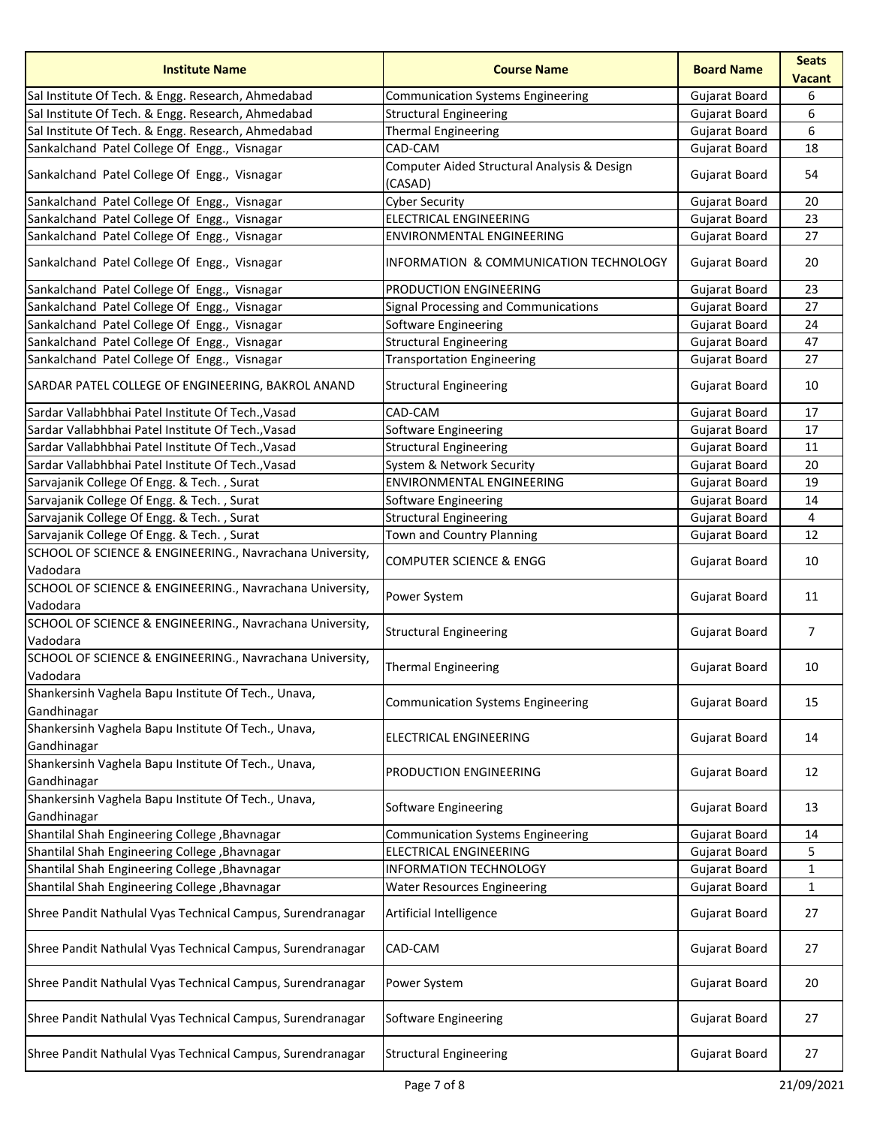| <b>Institute Name</b>                                                | <b>Course Name</b>                                     | <b>Board Name</b>    | <b>Seats</b><br><b>Vacant</b> |
|----------------------------------------------------------------------|--------------------------------------------------------|----------------------|-------------------------------|
| Sal Institute Of Tech. & Engg. Research, Ahmedabad                   | <b>Communication Systems Engineering</b>               | Gujarat Board        | 6                             |
| Sal Institute Of Tech. & Engg. Research, Ahmedabad                   | <b>Structural Engineering</b>                          | <b>Gujarat Board</b> | 6                             |
| Sal Institute Of Tech. & Engg. Research, Ahmedabad                   | <b>Thermal Engineering</b>                             | <b>Gujarat Board</b> | 6                             |
| Sankalchand Patel College Of Engg., Visnagar                         | CAD-CAM                                                | <b>Gujarat Board</b> | 18                            |
| Sankalchand Patel College Of Engg., Visnagar                         | Computer Aided Structural Analysis & Design<br>(CASAD) | <b>Gujarat Board</b> | 54                            |
| Sankalchand Patel College Of Engg., Visnagar                         | <b>Cyber Security</b>                                  | <b>Gujarat Board</b> | 20                            |
| Sankalchand Patel College Of Engg., Visnagar                         | <b>ELECTRICAL ENGINEERING</b>                          | <b>Gujarat Board</b> | 23                            |
| Sankalchand Patel College Of Engg., Visnagar                         | ENVIRONMENTAL ENGINEERING                              | <b>Gujarat Board</b> | 27                            |
| Sankalchand Patel College Of Engg., Visnagar                         | INFORMATION & COMMUNICATION TECHNOLOGY                 | Gujarat Board        | 20                            |
| Sankalchand Patel College Of Engg., Visnagar                         | <b>PRODUCTION ENGINEERING</b>                          | <b>Gujarat Board</b> | 23                            |
| Sankalchand Patel College Of Engg., Visnagar                         | Signal Processing and Communications                   | <b>Gujarat Board</b> | 27                            |
| Sankalchand Patel College Of Engg., Visnagar                         | <b>Software Engineering</b>                            | Gujarat Board        | 24                            |
| Sankalchand Patel College Of Engg., Visnagar                         | <b>Structural Engineering</b>                          | Gujarat Board        | 47                            |
| Sankalchand Patel College Of Engg., Visnagar                         | <b>Transportation Engineering</b>                      | Gujarat Board        | 27                            |
| SARDAR PATEL COLLEGE OF ENGINEERING, BAKROL ANAND                    | <b>Structural Engineering</b>                          | Gujarat Board        | 10                            |
| Sardar Vallabhbhai Patel Institute Of Tech., Vasad                   | CAD-CAM                                                | <b>Gujarat Board</b> | 17                            |
| Sardar Vallabhbhai Patel Institute Of Tech., Vasad                   | Software Engineering                                   | <b>Gujarat Board</b> | 17                            |
| Sardar Vallabhbhai Patel Institute Of Tech., Vasad                   | <b>Structural Engineering</b>                          | <b>Gujarat Board</b> | 11                            |
| Sardar Vallabhbhai Patel Institute Of Tech., Vasad                   | System & Network Security                              | Gujarat Board        | 20                            |
| Sarvajanik College Of Engg. & Tech., Surat                           | <b>ENVIRONMENTAL ENGINEERING</b>                       | <b>Gujarat Board</b> | 19                            |
| Sarvajanik College Of Engg. & Tech., Surat                           | <b>Software Engineering</b>                            | <b>Gujarat Board</b> | 14                            |
| Sarvajanik College Of Engg. & Tech., Surat                           | <b>Structural Engineering</b>                          | <b>Gujarat Board</b> | 4                             |
| Sarvajanik College Of Engg. & Tech., Surat                           | Town and Country Planning                              | Gujarat Board        | 12                            |
| SCHOOL OF SCIENCE & ENGINEERING., Navrachana University,<br>Vadodara | <b>COMPUTER SCIENCE &amp; ENGG</b>                     | Gujarat Board        | 10                            |
| SCHOOL OF SCIENCE & ENGINEERING., Navrachana University,<br>Vadodara | <b>Power System</b>                                    | Gujarat Board        | 11                            |
| SCHOOL OF SCIENCE & ENGINEERING., Navrachana University,<br>Vadodara | <b>Structural Engineering</b>                          | Gujarat Board        | 7                             |
| SCHOOL OF SCIENCE & ENGINEERING., Navrachana University,<br>Vadodara | <b>Thermal Engineering</b>                             | <b>Gujarat Board</b> | 10                            |
| Shankersinh Vaghela Bapu Institute Of Tech., Unava,<br>Gandhinagar   | <b>Communication Systems Engineering</b>               | Gujarat Board        | 15                            |
| Shankersinh Vaghela Bapu Institute Of Tech., Unava,<br>Gandhinagar   | ELECTRICAL ENGINEERING                                 | Gujarat Board        | 14                            |
| Shankersinh Vaghela Bapu Institute Of Tech., Unava,<br>Gandhinagar   | PRODUCTION ENGINEERING                                 | Gujarat Board        | 12                            |
| Shankersinh Vaghela Bapu Institute Of Tech., Unava,<br>Gandhinagar   | Software Engineering                                   | Gujarat Board        | 13                            |
| Shantilal Shah Engineering College, Bhavnagar                        | <b>Communication Systems Engineering</b>               | <b>Gujarat Board</b> | 14                            |
| Shantilal Shah Engineering College, Bhavnagar                        | <b>ELECTRICAL ENGINEERING</b>                          | Gujarat Board        | 5                             |
| Shantilal Shah Engineering College, Bhavnagar                        | <b>INFORMATION TECHNOLOGY</b>                          | <b>Gujarat Board</b> | $\mathbf{1}$                  |
| Shantilal Shah Engineering College, Bhavnagar                        | <b>Water Resources Engineering</b>                     | Gujarat Board        | $\mathbf{1}$                  |
| Shree Pandit Nathulal Vyas Technical Campus, Surendranagar           | Artificial Intelligence                                | Gujarat Board        | 27                            |
| Shree Pandit Nathulal Vyas Technical Campus, Surendranagar           | CAD-CAM                                                | Gujarat Board        | 27                            |
| Shree Pandit Nathulal Vyas Technical Campus, Surendranagar           | Power System                                           | Gujarat Board        | 20                            |
| Shree Pandit Nathulal Vyas Technical Campus, Surendranagar           | Software Engineering                                   | Gujarat Board        | 27                            |
| Shree Pandit Nathulal Vyas Technical Campus, Surendranagar           | <b>Structural Engineering</b>                          | Gujarat Board        | 27                            |